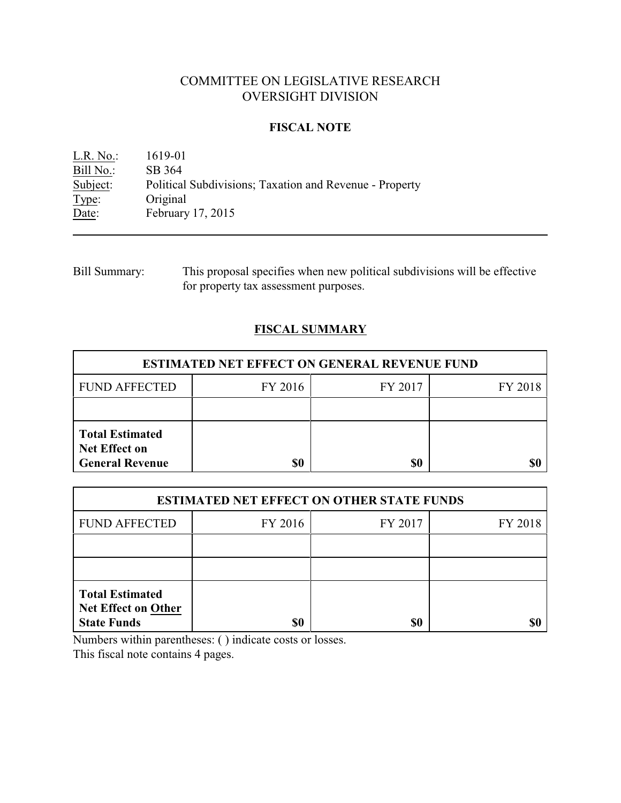# COMMITTEE ON LEGISLATIVE RESEARCH OVERSIGHT DIVISION

### **FISCAL NOTE**

L.R. No.: 1619-01 Bill No.: SB 364<br>Subject: Political Subject: Political Subdivisions; Taxation and Revenue - Property Type: Original Type: Original<br>Date: February February 17, 2015

| Bill Summary: | This proposal specifies when new political subdivisions will be effective |
|---------------|---------------------------------------------------------------------------|
|               | for property tax assessment purposes.                                     |

## **FISCAL SUMMARY**

| <b>ESTIMATED NET EFFECT ON GENERAL REVENUE FUND</b>                      |         |         |         |  |
|--------------------------------------------------------------------------|---------|---------|---------|--|
| <b>FUND AFFECTED</b>                                                     | FY 2016 | FY 2017 | FY 2018 |  |
|                                                                          |         |         |         |  |
| <b>Total Estimated</b><br><b>Net Effect on</b><br><b>General Revenue</b> | \$0     | \$0     |         |  |

| <b>ESTIMATED NET EFFECT ON OTHER STATE FUNDS</b>                           |         |         |         |  |
|----------------------------------------------------------------------------|---------|---------|---------|--|
| <b>FUND AFFECTED</b>                                                       | FY 2016 | FY 2017 | FY 2018 |  |
|                                                                            |         |         |         |  |
|                                                                            |         |         |         |  |
| <b>Total Estimated</b><br><b>Net Effect on Other</b><br><b>State Funds</b> | \$0     | \$0     |         |  |

Numbers within parentheses: ( ) indicate costs or losses.

This fiscal note contains 4 pages.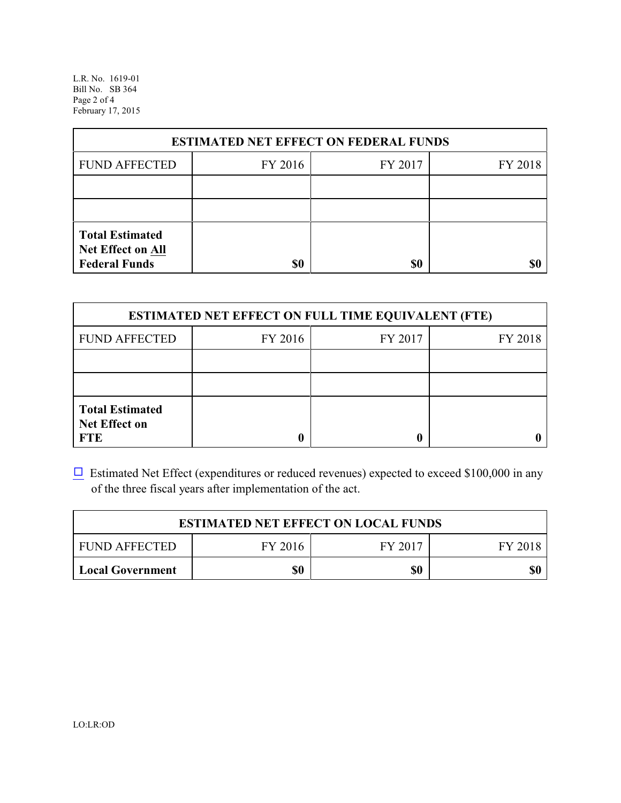L.R. No. 1619-01 Bill No. SB 364 Page 2 of 4 February 17, 2015

| <b>ESTIMATED NET EFFECT ON FEDERAL FUNDS</b>                        |         |         |         |  |
|---------------------------------------------------------------------|---------|---------|---------|--|
| <b>FUND AFFECTED</b>                                                | FY 2016 | FY 2017 | FY 2018 |  |
|                                                                     |         |         |         |  |
|                                                                     |         |         |         |  |
| <b>Total Estimated</b><br>Net Effect on All<br><b>Federal Funds</b> | \$0     | \$0     |         |  |

| <b>ESTIMATED NET EFFECT ON FULL TIME EQUIVALENT (FTE)</b>    |         |         |         |  |
|--------------------------------------------------------------|---------|---------|---------|--|
| <b>FUND AFFECTED</b>                                         | FY 2016 | FY 2017 | FY 2018 |  |
|                                                              |         |         |         |  |
|                                                              |         |         |         |  |
| <b>Total Estimated</b><br><b>Net Effect on</b><br><b>FTE</b> |         |         |         |  |

 $\Box$  Estimated Net Effect (expenditures or reduced revenues) expected to exceed \$100,000 in any of the three fiscal years after implementation of the act.

| <b>ESTIMATED NET EFFECT ON LOCAL FUNDS</b> |         |         |         |
|--------------------------------------------|---------|---------|---------|
| <b>FUND AFFECTED</b>                       | FY 2016 | FY 2017 | FY 2018 |
| Local Government                           | \$0     | \$0     | \$0     |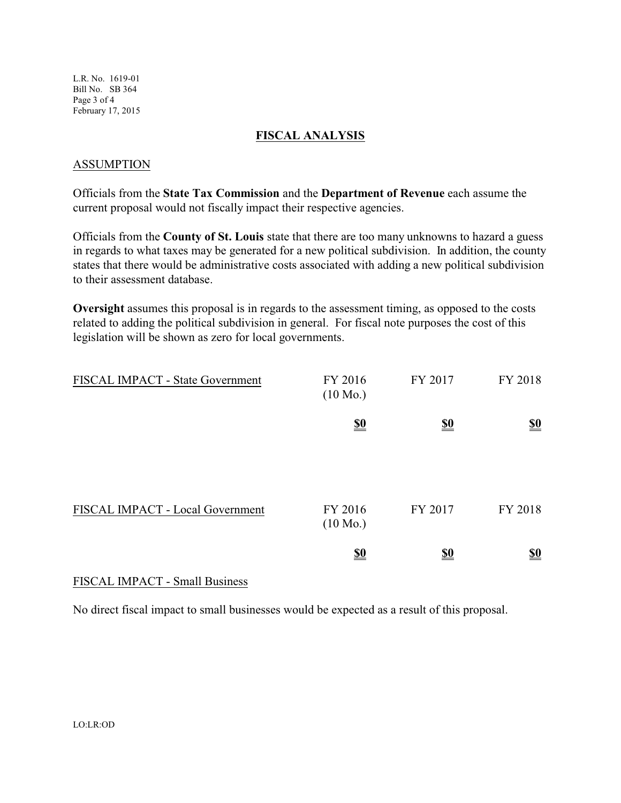L.R. No. 1619-01 Bill No. SB 364 Page 3 of 4 February 17, 2015

#### **FISCAL ANALYSIS**

### ASSUMPTION

Officials from the **State Tax Commission** and the **Department of Revenue** each assume the current proposal would not fiscally impact their respective agencies.

Officials from the **County of St. Louis** state that there are too many unknowns to hazard a guess in regards to what taxes may be generated for a new political subdivision. In addition, the county states that there would be administrative costs associated with adding a new political subdivision to their assessment database.

**Oversight** assumes this proposal is in regards to the assessment timing, as opposed to the costs related to adding the political subdivision in general. For fiscal note purposes the cost of this legislation will be shown as zero for local governments.

| FISCAL IMPACT - State Government | FY 2016<br>$(10 \text{ Mo.})$                       | FY 2017                       | FY 2018                       |
|----------------------------------|-----------------------------------------------------|-------------------------------|-------------------------------|
|                                  | $\underline{\underline{\$0}}$                       | $\underline{\underline{\$0}}$ | $\underline{\underline{\$0}}$ |
| FISCAL IMPACT - Local Government | FY 2016                                             | FY 2017                       | FY 2018                       |
|                                  | $(10 \text{ Mo.})$<br>$\underline{\underline{\$0}}$ | <u>\$0</u>                    | $\underline{\$0}$             |

#### FISCAL IMPACT - Small Business

No direct fiscal impact to small businesses would be expected as a result of this proposal.